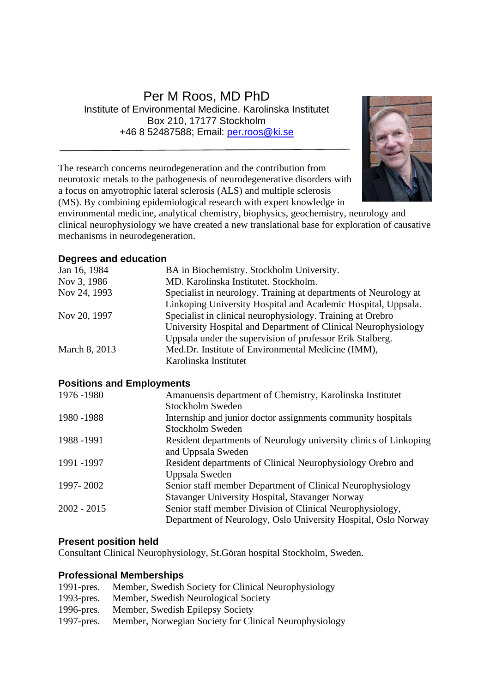## Per M Roos, MD PhD Institute of Environmental Medicine. Karolinska Institutet Box 210, 17177 Stockholm +46 8 52487588; Email: [per.roos@ki.se](mailto:per.roos@ki.se)



The research concerns neurodegeneration and the contribution from neurotoxic metals to the pathogenesis of neurodegenerative disorders with a focus on amyotrophic lateral sclerosis (ALS) and multiple sclerosis (MS). By combining epidemiological research with expert knowledge in

environmental medicine, analytical chemistry, biophysics, geochemistry, neurology and clinical neurophysiology we have created a new translational base for exploration of causative mechanisms in neurodegeneration.

#### **Degrees and education**

| Jan 16, 1984  | BA in Biochemistry. Stockholm University.                        |
|---------------|------------------------------------------------------------------|
| Nov 3, 1986   | MD. Karolinska Institutet. Stockholm.                            |
| Nov 24, 1993  | Specialist in neurology. Training at departments of Neurology at |
|               | Linkoping University Hospital and Academic Hospital, Uppsala.    |
| Nov 20, 1997  | Specialist in clinical neurophysiology. Training at Orebro       |
|               | University Hospital and Department of Clinical Neurophysiology   |
|               | Uppsala under the supervision of professor Erik Stalberg.        |
| March 8, 2013 | Med.Dr. Institute of Environmental Medicine (IMM),               |
|               | Karolinska Institutet                                            |
|               |                                                                  |

### **Positions and Employments**

| 1976 - 1980   | Amanuensis department of Chemistry, Karolinska Institutet         |
|---------------|-------------------------------------------------------------------|
|               | Stockholm Sweden                                                  |
| 1980 - 1988   | Internship and junior doctor assignments community hospitals      |
|               | Stockholm Sweden                                                  |
| 1988 - 1991   | Resident departments of Neurology university clinics of Linkoping |
|               | and Uppsala Sweden                                                |
| 1991 -1997    | Resident departments of Clinical Neurophysiology Orebro and       |
|               | Uppsala Sweden                                                    |
| 1997-2002     | Senior staff member Department of Clinical Neurophysiology        |
|               | Stavanger University Hospital, Stavanger Norway                   |
| $2002 - 2015$ | Senior staff member Division of Clinical Neurophysiology,         |
|               | Department of Neurology, Oslo University Hospital, Oslo Norway    |

#### **Present position held**

Consultant Clinical Neurophysiology, St.Göran hospital Stockholm, Sweden.

#### **Professional Memberships**

| $1991$ -pres. | Member, Swedish Society for Clinical Neurophysiology   |
|---------------|--------------------------------------------------------|
| $1993$ -pres. | Member, Swedish Neurological Society                   |
| $1996$ -pres. | Member, Swedish Epilepsy Society                       |
| 1997-pres.    | Member, Norwegian Society for Clinical Neurophysiology |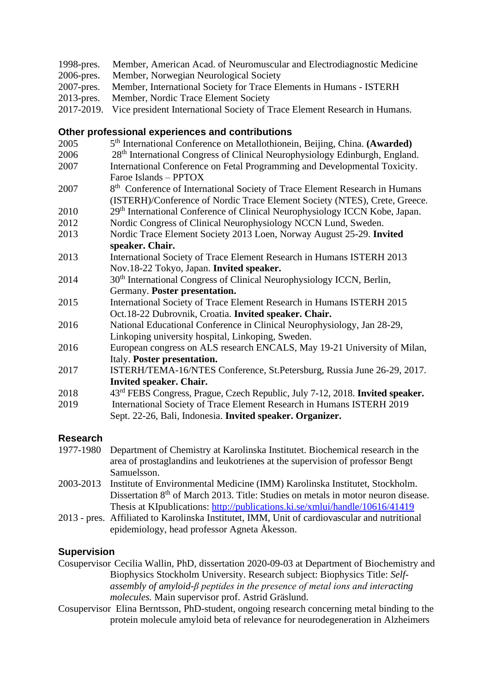- 1998-pres. Member, American Acad. of Neuromuscular and Electrodiagnostic Medicine
- 2006-pres. Member, Norwegian Neurological Society
- 2007-pres. Member, International Society for Trace Elements in Humans ISTERH
- 2013-pres. Member, Nordic Trace Element Society
- 2017-2019. Vice president International Society of Trace Element Research in Humans.

## **Other professional experiences and contributions**

- 2005 th International Conference on Metallothionein, Beijing, China. **(Awarded)**
- 2006 28th International Congress of Clinical Neurophysiology Edinburgh, England.
- 2007 International Conference on Fetal Programming and Developmental Toxicity. Faroe Islands – PPTOX
- 2007 8<sup>th</sup> Conference of International Society of Trace Element Research in Humans (ISTERH)/Conference of Nordic Trace Element Society (NTES), Crete, Greece.
- 2010 29th International Conference of Clinical Neurophysiology ICCN Kobe, Japan.
- 2012 Nordic Congress of Clinical Neurophysiology NCCN Lund, Sweden.
- 2013 Nordic Trace Element Society 2013 Loen, Norway August 25-29. **Invited speaker. Chair.**
- 2013 International Society of Trace Element Research in Humans ISTERH 2013 Nov.18-22 Tokyo, Japan. **Invited speaker.**
- 2014 30<sup>th</sup> International Congress of Clinical Neurophysiology ICCN, Berlin, Germany. **Poster presentation.**
- 2015 International Society of Trace Element Research in Humans ISTERH 2015 Oct.18-22 Dubrovnik, Croatia. **Invited speaker. Chair.**
- 2016 National Educational Conference in Clinical Neurophysiology, Jan 28-29, Linkoping university hospital, Linkoping, Sweden.
- 2016 European congress on ALS research ENCALS, May 19-21 University of Milan, Italy. **Poster presentation.**
- 2017 ISTERH/TEMA-16/NTES Conference, St.Petersburg, Russia June 26-29, 2017. **Invited speaker. Chair.**
- 2018 43rd FEBS Congress, Prague, Czech Republic, July 7-12, 2018. **Invited speaker.**
- 2019 International Society of Trace Element Research in Humans ISTERH 2019 Sept. 22-26, Bali, Indonesia. **Invited speaker. Organizer.**

# **Research**

- 1977-1980 Department of Chemistry at Karolinska Institutet. Biochemical research in the area of prostaglandins and leukotrienes at the supervision of professor Bengt Samuelsson.
- 2003-2013 Institute of Environmental Medicine (IMM) Karolinska Institutet, Stockholm. Dissertation 8<sup>th</sup> of March 2013. Title: Studies on metals in motor neuron disease. Thesis at KIpublications: <http://publications.ki.se/xmlui/handle/10616/41419>
- 2013 pres. Affiliated to Karolinska Institutet, IMM, Unit of cardiovascular and nutritional epidemiology, head professor Agneta Åkesson.

# **Supervision**

Cosupervisor Cecilia Wallin, PhD, dissertation 2020-09-03 at Department of Biochemistry and Biophysics Stockholm University. Research subject: Biophysics Title: *Selfassembly of amyloid-β peptides in the presence of metal ions and interacting molecules.* Main supervisor prof. Astrid Gräslund.

Cosupervisor Elina Berntsson, PhD-student, ongoing research concerning metal binding to the protein molecule amyloid beta of relevance for neurodegeneration in Alzheimers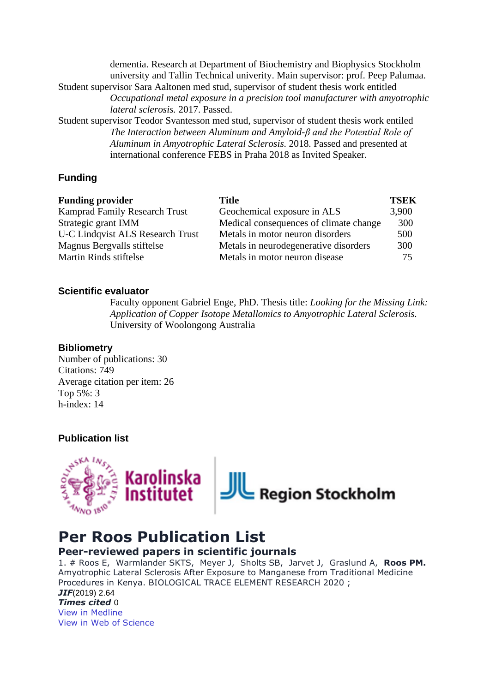dementia. Research at Department of Biochemistry and Biophysics Stockholm university and Tallin Technical univerity. Main supervisor: prof. Peep Palumaa. Student supervisor Sara Aaltonen med stud, supervisor of student thesis work entitled *Occupational metal exposure in a precision tool manufacturer with amyotrophic lateral sclerosis.* 2017. Passed. Student supervisor Teodor Svantesson med stud, supervisor of student thesis work entiled

*The Interaction between Aluminum and Amyloid-β and the Potential Role of Aluminum in Amyotrophic Lateral Sclerosis.* 2018. Passed and presented at international conference FEBS in Praha 2018 as Invited Speaker.

### **Funding**

| <b>Funding provider</b>                 | Title                                  | <b>TSEK</b> |
|-----------------------------------------|----------------------------------------|-------------|
| <b>Kamprad Family Research Trust</b>    | Geochemical exposure in ALS            | 3,900       |
| Strategic grant IMM                     | Medical consequences of climate change | 300         |
| <b>U-C Lindqvist ALS Research Trust</b> | Metals in motor neuron disorders       | 500         |
| Magnus Bergvalls stiftelse              | Metals in neurodegenerative disorders  | 300         |
| <b>Martin Rinds stiftelse</b>           | Metals in motor neuron disease         | 75          |

#### **Scientific evaluator**

Faculty opponent Gabriel Enge, PhD. Thesis title: *Looking for the Missing Link: Application of Copper Isotope Metallomics to Amyotrophic Lateral Sclerosis.* University of Woolongong Australia

#### **Bibliometry**

Number of publications: 30 Citations: 749 Average citation per item: 26 Top 5%: 3 h-index: 14

#### **Publication list**



# **Per Roos Publication List**

## **Peer-reviewed papers in scientific journals**

1. # Roos E, Warmlander SKTS, Meyer J, Sholts SB, Jarvet J, Graslund A, **Roos PM.**  Amyotrophic Lateral Sclerosis After Exposure to Manganese from Traditional Medicine Procedures in Kenya. BIOLOGICAL TRACE ELEMENT RESEARCH 2020 ; *JIF*(2019) 2.64 *Times cited* 0

[View in Medline](http://www.ncbi.nlm.nih.gov/pubmed/33230634?otool=karolib&tool=karolinska) [View in Web of Science](http://gateway.webofknowledge.com/gateway/Gateway.cgi?GWVersion=2&SrcAuth=Alerting&SrcApp=Alerting&DestApp=WOS&DestLinkType=FullRecord;KeyUT=000591957100002)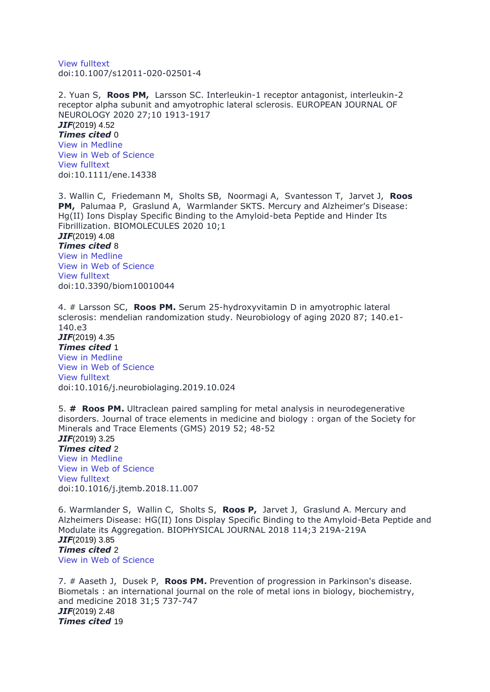[View fulltext](https://doi.org/10.1007/s12011-020-02501-4) doi:10.1007/s12011-020-02501-4

2. Yuan S, **Roos PM,** Larsson SC. Interleukin-1 receptor antagonist, interleukin-2 receptor alpha subunit and amyotrophic lateral sclerosis. EUROPEAN JOURNAL OF NEUROLOGY 2020 27;10 1913-1917 *JIF*(2019) 4.52 *Times cited* 0 [View in Medline](http://www.ncbi.nlm.nih.gov/pubmed/32441415?otool=karolib&tool=karolinska) [View in Web of Science](http://gateway.webofknowledge.com/gateway/Gateway.cgi?GWVersion=2&SrcAuth=Alerting&SrcApp=Alerting&DestApp=WOS&DestLinkType=FullRecord;KeyUT=000539375500001) [View fulltext](https://doi.org/10.1111/ene.14338) doi:10.1111/ene.14338

3. Wallin C, Friedemann M, Sholts SB, Noormagi A, Svantesson T, Jarvet J, **Roos PM,** Palumaa P, Graslund A, Warmlander SKTS. Mercury and Alzheimer's Disease: Hg(II) Ions Display Specific Binding to the Amyloid-beta Peptide and Hinder Its Fibrillization. BIOMOLECULES 2020 10;1 *JIF*(2019) 4.08 *Times cited* 8 [View in Medline](http://www.ncbi.nlm.nih.gov/pubmed/31892131?otool=karolib&tool=karolinska) [View in Web of Science](http://gateway.webofknowledge.com/gateway/Gateway.cgi?GWVersion=2&SrcAuth=Alerting&SrcApp=Alerting&DestApp=WOS&DestLinkType=FullRecord;KeyUT=000514863200133) [View fulltext](https://doi.org/10.3390/biom10010044) doi:10.3390/biom10010044

4. # Larsson SC, **Roos PM.** Serum 25-hydroxyvitamin D in amyotrophic lateral sclerosis: mendelian randomization study. Neurobiology of aging 2020 87; 140.e1- 140.e3 *JIF*(2019) 4.35 *Times cited* 1 [View in Medline](http://www.ncbi.nlm.nih.gov/pubmed/31785838?otool=karolib&tool=karolinska) [View in Web of Science](http://gateway.webofknowledge.com/gateway/Gateway.cgi?GWVersion=2&SrcAuth=Alerting&SrcApp=Alerting&DestApp=WOS&DestLinkType=FullRecord;KeyUT=000518217600021) [View fulltext](https://doi.org/10.1016/j.neurobiolaging.2019.10.024) doi:10.1016/j.neurobiolaging.2019.10.024

5. **# Roos PM.** Ultraclean paired sampling for metal analysis in neurodegenerative disorders. Journal of trace elements in medicine and biology : organ of the Society for Minerals and Trace Elements (GMS) 2019 52; 48-52 *JIF*(2019) 3.25

*Times cited* 2 [View in Medline](http://www.ncbi.nlm.nih.gov/pubmed/30732898?otool=karolib&tool=karolinska) [View in Web of Science](http://gateway.webofknowledge.com/gateway/Gateway.cgi?GWVersion=2&SrcAuth=Alerting&SrcApp=Alerting&DestApp=WOS&DestLinkType=FullRecord;KeyUT=000463958300008) [View fulltext](https://doi.org/10.1016/j.jtemb.2018.11.007) doi:10.1016/j.jtemb.2018.11.007

6. Warmlander S, Wallin C, Sholts S, **Roos P,** Jarvet J, Graslund A. Mercury and Alzheimers Disease: HG(II) Ions Display Specific Binding to the Amyloid-Beta Peptide and Modulate its Aggregation. BIOPHYSICAL JOURNAL 2018 114;3 219A-219A *JIF*(2019) 3.85 *Times cited* 2 [View in Web of Science](http://gateway.webofknowledge.com/gateway/Gateway.cgi?GWVersion=2&SrcAuth=Alerting&SrcApp=Alerting&DestApp=WOS&DestLinkType=FullRecord;KeyUT=000430439600343)

7. # Aaseth J, Dusek P, **Roos PM.** Prevention of progression in Parkinson's disease. Biometals : an international journal on the role of metal ions in biology, biochemistry, and medicine 2018 31;5 737-747 *JIF*(2019) 2.48 *Times cited* 19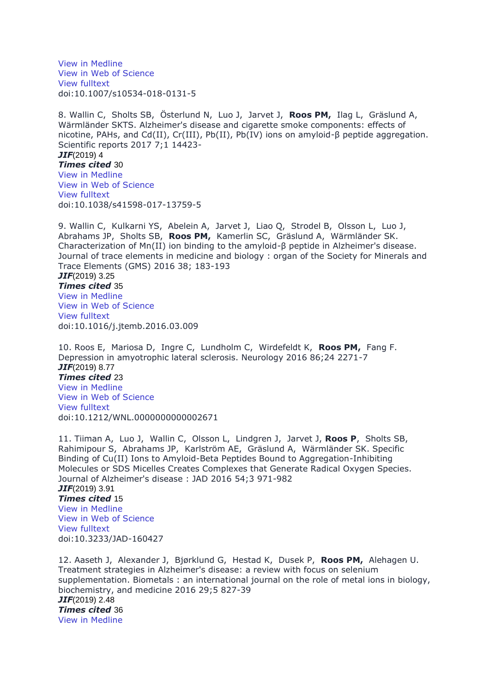[View in Medline](http://www.ncbi.nlm.nih.gov/pubmed/30030679?otool=karolib&tool=karolinska) [View in Web of Science](http://gateway.webofknowledge.com/gateway/Gateway.cgi?GWVersion=2&SrcAuth=Alerting&SrcApp=Alerting&DestApp=WOS&DestLinkType=FullRecord;KeyUT=000444144000004) [View fulltext](https://doi.org/10.1007/s10534-018-0131-5) doi:10.1007/s10534-018-0131-5

8. Wallin C, Sholts SB, Österlund N, Luo J, Jarvet J, **Roos PM,** Ilag L, Gräslund A, Wärmländer SKTS. Alzheimer's disease and cigarette smoke components: effects of nicotine, PAHs, and Cd(II), Cr(III), Pb(II), Pb(IV) ions on amyloid-β peptide aggregation. Scientific reports 2017 7;1 14423-

*JIF*(2019) 4

*Times cited* 30 [View in Medline](http://www.ncbi.nlm.nih.gov/pubmed/29089568?otool=karolib&tool=karolinska) [View in Web of Science](http://gateway.webofknowledge.com/gateway/Gateway.cgi?GWVersion=2&SrcAuth=Alerting&SrcApp=Alerting&DestApp=WOS&DestLinkType=FullRecord;KeyUT=000414231000024) [View fulltext](https://doi.org/10.1038/s41598-017-13759-5) doi:10.1038/s41598-017-13759-5

9. Wallin C, Kulkarni YS, Abelein A, Jarvet J, Liao Q, Strodel B, Olsson L, Luo J, Abrahams JP, Sholts SB, **Roos PM,** Kamerlin SC, Gräslund A, Wärmländer SK. Characterization of Mn(II) ion binding to the amyloid-β peptide in Alzheimer's disease. Journal of trace elements in medicine and biology : organ of the Society for Minerals and Trace Elements (GMS) 2016 38; 183-193

*JIF*(2019) 3.25 *Times cited* 35 View in [Medline](http://www.ncbi.nlm.nih.gov/pubmed/27085215?otool=karolib&tool=karolinska) [View in Web of Science](http://gateway.webofknowledge.com/gateway/Gateway.cgi?GWVersion=2&SrcAuth=Alerting&SrcApp=Alerting&DestApp=WOS&DestLinkType=FullRecord;KeyUT=000385473600023) [View fulltext](https://doi.org/10.1016/j.jtemb.2016.03.009) doi:10.1016/j.jtemb.2016.03.009

10. Roos E, Mariosa D, Ingre C, Lundholm C, Wirdefeldt K, **Roos PM,** Fang F. Depression in amyotrophic lateral sclerosis. Neurology 2016 86;24 2271-7 *JIF*(2019) 8.77 *Times cited* 23 [View in Medline](http://www.ncbi.nlm.nih.gov/pubmed/27164661?otool=karolib&tool=karolinska) [View in Web of Science](http://gateway.webofknowledge.com/gateway/Gateway.cgi?GWVersion=2&SrcAuth=Alerting&SrcApp=Alerting&DestApp=WOS&DestLinkType=FullRecord;KeyUT=000378721000015) [View fulltext](https://doi.org/10.1212/WNL.0000000000002671) doi:10.1212/WNL.0000000000002671

11. Tiiman A, Luo J, Wallin C, Olsson L, Lindgren J, Jarvet J, **Roos P**, Sholts SB, Rahimipour S, Abrahams JP, Karlström AE, Gräslund A, Wärmländer SK. Specific Binding of Cu(II) Ions to Amyloid-Beta Peptides Bound to Aggregation-Inhibiting Molecules or SDS Micelles Creates Complexes that Generate Radical Oxygen Species. Journal of Alzheimer's disease : JAD 2016 54;3 971-982 *JIF*(2019) 3.91 *Times cited* 15 [View in Medline](http://www.ncbi.nlm.nih.gov/pubmed/27567855?otool=karolib&tool=karolinska) [View in Web of Science](http://gateway.webofknowledge.com/gateway/Gateway.cgi?GWVersion=2&SrcAuth=Alerting&SrcApp=Alerting&DestApp=WOS&DestLinkType=FullRecord;KeyUT=000385651800012) [View fulltext](https://doi.org/10.3233/JAD-160427) doi:10.3233/JAD-160427

12. Aaseth J, Alexander J, Bjørklund G, Hestad K, Dusek P, **Roos PM,** Alehagen U. Treatment strategies in Alzheimer's disease: a review with focus on selenium supplementation. Biometals : an international journal on the role of metal ions in biology, biochemistry, and medicine 2016 29;5 827-39 *JIF*(2019) 2.48 *Times cited* 36 [View in Medline](http://www.ncbi.nlm.nih.gov/pubmed/27530256?otool=karolib&tool=karolinska)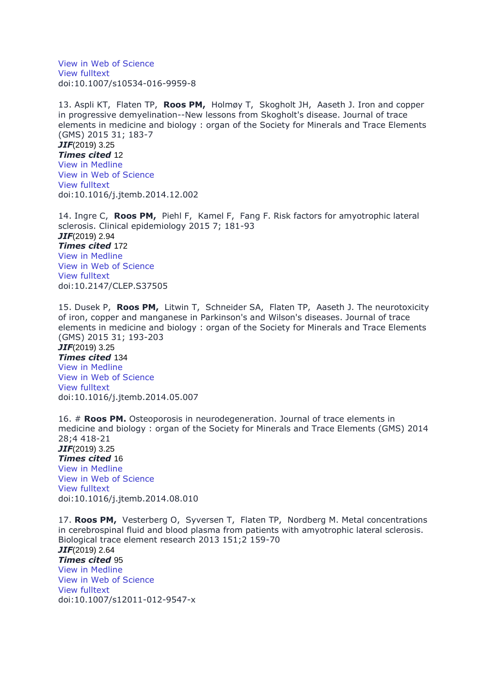[View in Web of Science](http://gateway.webofknowledge.com/gateway/Gateway.cgi?GWVersion=2&SrcAuth=Alerting&SrcApp=Alerting&DestApp=WOS&DestLinkType=FullRecord;KeyUT=000385252400006) [View fulltext](https://doi.org/10.1007/s10534-016-9959-8) doi:10.1007/s10534-016-9959-8

13. Aspli KT, Flaten TP, **Roos PM,** Holmøy T, Skogholt JH, Aaseth J. Iron and copper in progressive demyelination--New lessons from Skogholt's disease. Journal of trace elements in medicine and biology : organ of the Society for Minerals and Trace Elements (GMS) 2015 31; 183-7 *JIF*(2019) 3.25 *Times cited* 12 [View in Medline](http://www.ncbi.nlm.nih.gov/pubmed/25563774?otool=karolib&tool=karolinska) [View in Web of Science](http://gateway.webofknowledge.com/gateway/Gateway.cgi?GWVersion=2&SrcAuth=Alerting&SrcApp=Alerting&DestApp=WOS&DestLinkType=FullRecord;KeyUT=000356192400029)

[View fulltext](https://doi.org/10.1016/j.jtemb.2014.12.002) doi:10.1016/j.jtemb.2014.12.002

14. Ingre C, **Roos PM,** Piehl F, Kamel F, Fang F. Risk factors for amyotrophic lateral sclerosis. Clinical epidemiology 2015 7; 181-93 *JIF*(2019) 2.94 *Times cited* 172 [View in Medline](http://www.ncbi.nlm.nih.gov/pubmed/25709501?otool=karolib&tool=karolinska) [View in Web of Science](http://gateway.webofknowledge.com/gateway/Gateway.cgi?GWVersion=2&SrcAuth=Alerting&SrcApp=Alerting&DestApp=WOS&DestLinkType=FullRecord;KeyUT=000209910300020) [View fulltext](https://doi.org/10.2147/CLEP.S37505) doi:10.2147/CLEP.S37505

15. Dusek P, **Roos PM,** Litwin T, Schneider SA, Flaten TP, Aaseth J. The neurotoxicity of iron, copper and manganese in Parkinson's and Wilson's diseases. Journal of trace elements in medicine and biology : organ of the Society for Minerals and Trace Elements (GMS) 2015 31; 193-203 *JIF*(2019) 3.25 *Times cited* 134 [View in Medline](http://www.ncbi.nlm.nih.gov/pubmed/24954801?otool=karolib&tool=karolinska) [View in Web of Science](http://gateway.webofknowledge.com/gateway/Gateway.cgi?GWVersion=2&SrcAuth=Alerting&SrcApp=Alerting&DestApp=WOS&DestLinkType=FullRecord;KeyUT=000356192400031) [View fulltext](https://doi.org/10.1016/j.jtemb.2014.05.007) doi:10.1016/j.jtemb.2014.05.007

16. # **Roos PM.** Osteoporosis in neurodegeneration. Journal of trace elements in medicine and biology : organ of the Society for Minerals and Trace Elements (GMS) 2014 28;4 418-21 *JIF*(2019) 3.25 *Times cited* 16 [View in Medline](http://www.ncbi.nlm.nih.gov/pubmed/25220531?otool=karolib&tool=karolinska) [View in Web of Science](http://gateway.webofknowledge.com/gateway/Gateway.cgi?GWVersion=2&SrcAuth=Alerting&SrcApp=Alerting&DestApp=WOS&DestLinkType=FullRecord;KeyUT=000347133800013) [View fulltext](https://doi.org/10.1016/j.jtemb.2014.08.010) doi:10.1016/j.jtemb.2014.08.010

17. **Roos PM,** Vesterberg O, Syversen T, Flaten TP, Nordberg M. Metal concentrations in cerebrospinal fluid and blood plasma from patients with amyotrophic lateral sclerosis. Biological trace element research 2013 151;2 159-70 *JIF*(2019) 2.64 *Times cited* 95 [View in Medline](http://www.ncbi.nlm.nih.gov/pubmed/23225075?otool=karolib&tool=karolinska) [View in Web of Science](http://gateway.webofknowledge.com/gateway/Gateway.cgi?GWVersion=2&SrcAuth=Alerting&SrcApp=Alerting&DestApp=WOS&DestLinkType=FullRecord;KeyUT=000313735900001) View [fulltext](https://doi.org/10.1007/s12011-012-9547-x) doi:10.1007/s12011-012-9547-x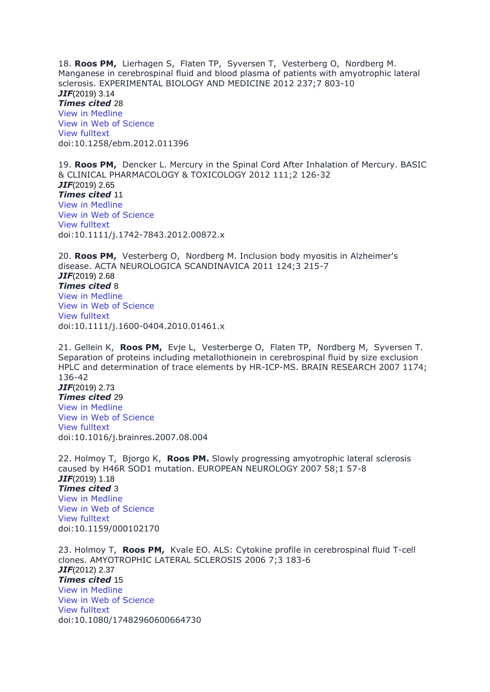18. **Roos PM,** Lierhagen S, Flaten TP, Syversen T, Vesterberg O, Nordberg M. Manganese in cerebrospinal fluid and blood plasma of patients with amyotrophic lateral sclerosis. EXPERIMENTAL BIOLOGY AND MEDICINE 2012 237;7 803-10 *JIF*(2019) 3.14 *Times cited* 28 [View in Medline](http://www.ncbi.nlm.nih.gov/pubmed/22859739?otool=karolib&tool=karolinska) [View in Web of Science](http://gateway.webofknowledge.com/gateway/Gateway.cgi?GWVersion=2&SrcAuth=Alerting&SrcApp=Alerting&DestApp=WOS&DestLinkType=FullRecord;KeyUT=000308678800010) [View fulltext](https://doi.org/10.1258/ebm.2012.011396) doi:10.1258/ebm.2012.011396

19. **Roos PM,** Dencker L. Mercury in the Spinal Cord After Inhalation of Mercury. BASIC & CLINICAL PHARMACOLOGY & TOXICOLOGY 2012 111;2 126-32 *JIF*(2019) 2.65 *Times cited* 11 View in [Medline](http://www.ncbi.nlm.nih.gov/pubmed/22364490?otool=karolib&tool=karolinska) [View in Web of Science](http://gateway.webofknowledge.com/gateway/Gateway.cgi?GWVersion=2&SrcAuth=Alerting&SrcApp=Alerting&DestApp=WOS&DestLinkType=FullRecord;KeyUT=000306401600010) [View fulltext](https://doi.org/10.1111/j.1742-7843.2012.00872.x) doi:10.1111/j.1742-7843.2012.00872.x

20. **Roos PM,** Vesterberg O, Nordberg M. Inclusion body myositis in Alzheimer's disease. ACTA NEUROLOGICA SCANDINAVICA 2011 124;3 215-7 *JIF*(2019) 2.68 *Times cited* 8 [View in Medline](http://www.ncbi.nlm.nih.gov/pubmed/21824117?otool=karolib&tool=karolinska) [View in Web of Science](http://gateway.webofknowledge.com/gateway/Gateway.cgi?GWVersion=2&SrcAuth=Alerting&SrcApp=Alerting&DestApp=WOS&DestLinkType=FullRecord;KeyUT=000293650400011) [View fulltext](https://doi.org/10.1111/j.1600-0404.2010.01461.x) doi:10.1111/j.1600-0404.2010.01461.x

21. Gellein K, **Roos PM,** Evje L, Vesterberge O, Flaten TP, Nordberg M, Syversen T. Separation of proteins including metallothionein in cerebrospinal fluid by size exclusion HPLC and determination of trace elements by HR-ICP-MS. BRAIN RESEARCH 2007 1174; 136-42 *JIF*(2019) 2.73 *Times cited* 29 [View in Medline](http://www.ncbi.nlm.nih.gov/pubmed/17868660?otool=karolib&tool=karolinska)

[View in Web of Science](http://gateway.webofknowledge.com/gateway/Gateway.cgi?GWVersion=2&SrcAuth=Alerting&SrcApp=Alerting&DestApp=WOS&DestLinkType=FullRecord;KeyUT=000250612200015) [View fulltext](https://doi.org/10.1016/j.brainres.2007.08.004) doi:10.1016/j.brainres.2007.08.004

22. Holmoy T, Bjorgo K, **Roos PM.** Slowly progressing amyotrophic lateral sclerosis caused by H46R SOD1 mutation. EUROPEAN NEUROLOGY 2007 58;1 57-8 *JIF*(2019) 1.18 *Times cited* 3 [View in Medline](http://www.ncbi.nlm.nih.gov/pubmed/17483589?otool=karolib&tool=karolinska) [View in Web of Science](http://gateway.webofknowledge.com/gateway/Gateway.cgi?GWVersion=2&SrcAuth=Alerting&SrcApp=Alerting&DestApp=WOS&DestLinkType=FullRecord;KeyUT=000248071400011) [View fulltext](https://doi.org/10.1159/000102170) doi:10.1159/000102170

23. Holmoy T, **Roos PM,** Kvale EO. ALS: Cytokine profile in cerebrospinal fluid T-cell clones. AMYOTROPHIC LATERAL SCLEROSIS 2006 7;3 183-6 *JIF*(2012) 2.37 *Times cited* 15 [View in Medline](http://www.ncbi.nlm.nih.gov/pubmed/16963408?otool=karolib&tool=karolinska) [View in Web of Science](http://gateway.webofknowledge.com/gateway/Gateway.cgi?GWVersion=2&SrcAuth=Alerting&SrcApp=Alerting&DestApp=WOS&DestLinkType=FullRecord;KeyUT=000241153900008) View [fulltext](https://doi.org/10.1080/17482960600664730) doi:10.1080/17482960600664730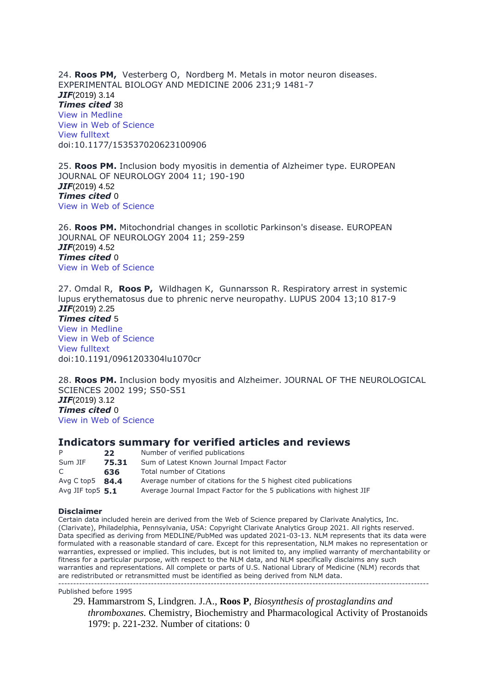24. **Roos PM,** Vesterberg O, Nordberg M. Metals in motor neuron diseases. EXPERIMENTAL BIOLOGY AND MEDICINE 2006 231;9 1481-7 *JIF*(2019) 3.14 *Times cited* 38 [View in Medline](http://www.ncbi.nlm.nih.gov/pubmed/17018870?otool=karolib&tool=karolinska) [View in Web of Science](http://gateway.webofknowledge.com/gateway/Gateway.cgi?GWVersion=2&SrcAuth=Alerting&SrcApp=Alerting&DestApp=WOS&DestLinkType=FullRecord;KeyUT=000241131900006) [View fulltext](https://doi.org/10.1177/153537020623100906) doi:10.1177/153537020623100906

25. **Roos PM.** Inclusion body myositis in dementia of Alzheimer type. EUROPEAN JOURNAL OF NEUROLOGY 2004 11; 190-190 *JIF*(2019) 4.52 *Times cited* 0 [View in Web of Science](http://gateway.webofknowledge.com/gateway/Gateway.cgi?GWVersion=2&SrcAuth=Alerting&SrcApp=Alerting&DestApp=WOS&DestLinkType=FullRecord;KeyUT=000202992101024)

26. **Roos PM.** Mitochondrial changes in scollotic Parkinson's disease. EUROPEAN JOURNAL OF NEUROLOGY 2004 11; 259-259 *JIF*(2019) 4.52 *Times cited* 0 [View in Web of Science](http://gateway.webofknowledge.com/gateway/Gateway.cgi?GWVersion=2&SrcAuth=Alerting&SrcApp=Alerting&DestApp=WOS&DestLinkType=FullRecord;KeyUT=000202992101233)

27. Omdal R, **Roos P,** Wildhagen K, Gunnarsson R. Respiratory arrest in systemic lupus erythematosus due to phrenic nerve neuropathy. LUPUS 2004 13;10 817-9 *JIF*(2019) 2.25 *Times cited* 5 [View in Medline](http://www.ncbi.nlm.nih.gov/pubmed/15540517?otool=karolib&tool=karolinska) [View in Web of Science](http://gateway.webofknowledge.com/gateway/Gateway.cgi?GWVersion=2&SrcAuth=Alerting&SrcApp=Alerting&DestApp=WOS&DestLinkType=FullRecord;KeyUT=000224835100011) [View fulltext](https://doi.org/10.1191/0961203304lu1070cr) doi:10.1191/0961203304lu1070cr

28. **Roos PM.** Inclusion body myositis and Alzheimer. JOURNAL OF THE NEUROLOGICAL SCIENCES 2002 199; S50-S51 *JIF*(2019) 3.12 *Times cited* 0 [View in Web of Science](http://gateway.webofknowledge.com/gateway/Gateway.cgi?GWVersion=2&SrcAuth=Alerting&SrcApp=Alerting&DestApp=WOS&DestLinkType=FullRecord;KeyUT=000180247400225)

#### **Indicators summary for verified articles and reviews**

| P                    | 22    | Number of verified publications                                       |
|----------------------|-------|-----------------------------------------------------------------------|
| Sum JIF              | 75.31 | Sum of Latest Known Journal Impact Factor                             |
| C.                   | 636   | Total number of Citations                                             |
| Avg $C$ top $5$ 84.4 |       | Average number of citations for the 5 highest cited publications      |
| Avg JIF top $5.1$    |       | Average Journal Impact Factor for the 5 publications with highest JIF |

#### **Disclaimer**

Certain data included herein are derived from the Web of Science prepared by Clarivate Analytics, Inc. (Clarivate), Philadelphia, Pennsylvania, USA: Copyright Clarivate Analytics Group 2021. All rights reserved. Data specified as deriving from MEDLINE/PubMed was updated 2021-03-13. NLM represents that its data were formulated with a reasonable standard of care. Except for this representation, NLM makes no representation or warranties, expressed or implied. This includes, but is not limited to, any implied warranty of merchantability or fitness for a particular purpose, with respect to the NLM data, and NLM specifically disclaims any such warranties and representations. All complete or parts of U.S. National Library of Medicine (NLM) records that are redistributed or retransmitted must be identified as being derived from NLM data. ----------------------------------------------------------------------------------------------------------------------------

#### Published before 1995

29. Hammarstrom S, Lindgren. J.A., **Roos P**, *Biosynthesis of prostaglandins and thromboxanes.* Chemistry, Biochemistry and Pharmacological Activity of Prostanoids 1979: p. 221-232. Number of citations: 0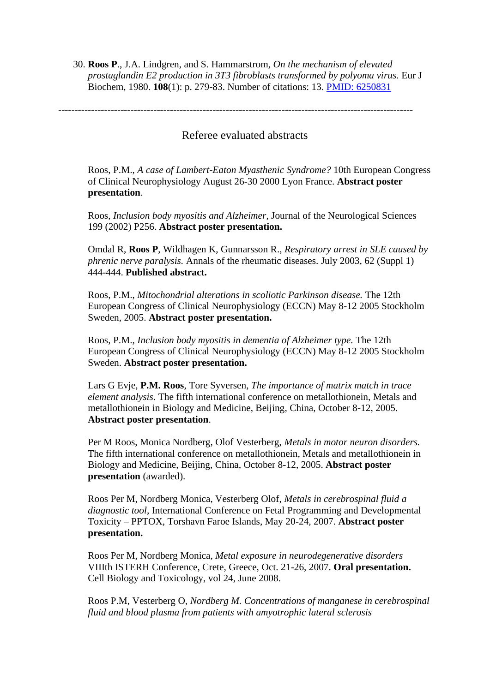30. **Roos P**., J.A. Lindgren, and S. Hammarstrom, *On the mechanism of elevated prostaglandin E2 production in 3T3 fibroblasts transformed by polyoma virus.* Eur J Biochem, 1980. **108**(1): p. 279-83. Number of citations: 13. PMID: [6250831](https://apps-webofknowledge-com.proxy.kib.ki.se/full_record.do?product=WOS&search_mode=GeneralSearch&qid=3&SID=C34FZx6XBfiIbvJFuXF&page=1&doc=1)

------------------------------------------------------------------------------------------------------------

## Referee evaluated abstracts

Roos, P.M., *A case of Lambert-Eaton Myasthenic Syndrome?* 10th European Congress of Clinical Neurophysiology August 26-30 2000 Lyon France. **Abstract poster presentation**.

Roos, *Inclusion body myositis and Alzheimer*, Journal of the Neurological Sciences 199 (2002) P256. **Abstract poster presentation.**

[Omdal R,](http://apps.isiknowledge.com/DaisyOneClickSearch.do?product=WOS&search_mode=DaisyOneClickSearch&db_id=&SID=S2oNM7iOkkf787Jckf8&name=Omdal%20R&ut=000224551401485&pos=1&cacheurlFromRightClick=no) **[Roos P](http://apps.isiknowledge.com/DaisyOneClickSearch.do?product=WOS&search_mode=DaisyOneClickSearch&db_id=&SID=S2oNM7iOkkf787Jckf8&name=Roos%20P&ut=000224551401485&pos=2)**, [Wildhagen K,](http://apps.isiknowledge.com/DaisyOneClickSearch.do?product=WOS&search_mode=DaisyOneClickSearch&db_id=&SID=S2oNM7iOkkf787Jckf8&name=Wildhagen%20K&ut=000224551401485&pos=3) [Gunnarsson R.](http://apps.isiknowledge.com/DaisyOneClickSearch.do?product=WOS&search_mode=DaisyOneClickSearch&db_id=&SID=S2oNM7iOkkf787Jckf8&name=Gunnarsson%20R&ut=000224551401485&pos=4), *Respiratory arrest in SLE caused by phrenic nerve paralysis.* Annals of the rheumatic diseases. July 2003, 62 (Suppl 1) 444-444. **Published abstract.**

Roos, P.M., *Mitochondrial alterations in scoliotic Parkinson disease.* The 12th European Congress of Clinical Neurophysiology (ECCN) May 8-12 2005 Stockholm Sweden, 2005. **Abstract poster presentation.** 

Roos, P.M., *Inclusion body myositis in dementia of Alzheimer type.* The 12th European Congress of Clinical Neurophysiology (ECCN) May 8-12 2005 Stockholm Sweden. **Abstract poster presentation.**

Lars G Evje, **P.M. Roos**, Tore Syversen, *The importance of matrix match in trace element analysis.* The fifth international conference on metallothionein, Metals and metallothionein in Biology and Medicine, Beijing, China, October 8-12, 2005. **Abstract poster presentation**.

Per M Roos, Monica Nordberg, Olof Vesterberg, *Metals in motor neuron disorders.* The fifth international conference on metallothionein, Metals and metallothionein in Biology and Medicine, Beijing, China, October 8-12, 2005. **Abstract poster presentation** (awarded).

Roos Per M, Nordberg Monica, Vesterberg Olof, *Metals in cerebrospinal fluid a diagnostic tool,* International Conference on Fetal Programming and Developmental Toxicity – PPTOX, Torshavn Faroe Islands, May 20-24, 2007. **Abstract poster presentation.**

Roos Per M, Nordberg Monica, *Metal exposure in neurodegenerative disorders* VIIIth ISTERH Conference, Crete, Greece, Oct. 21-26, 2007. **Oral presentation.** Cell Biology and Toxicology, vol 24, June 2008.

Roos P.M, Vesterberg O, *Nordberg M. Concentrations of manganese in cerebrospinal fluid and blood plasma from patients with amyotrophic lateral sclerosis*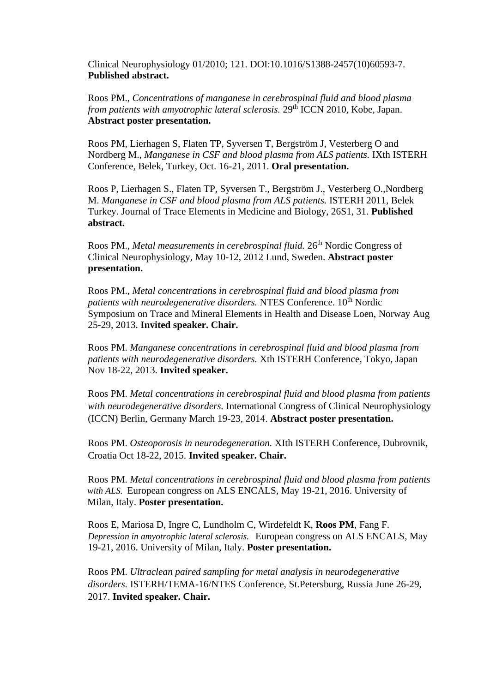Clinical Neurophysiology 01/2010; 121. DOI:10.1016/S1388-2457(10)60593-7. **Published abstract.**

Roos PM., *Concentrations of manganese in cerebrospinal fluid and blood plasma from patients with amyotrophic lateral sclerosis.* 29<sup>th</sup> ICCN 2010, Kobe, Japan. **Abstract poster presentation.**

Roos PM, Lierhagen S, Flaten TP, Syversen T, Bergström J, Vesterberg O and Nordberg M., *Manganese in CSF and blood plasma from ALS patients.* IXth ISTERH Conference, Belek, Turkey, Oct. 16-21, 2011. **Oral presentation.**

Roos P, Lierhagen S., Flaten TP, Syversen T., Bergström J., Vesterberg O.,Nordberg M. *Manganese in CSF and blood plasma from ALS patients.* ISTERH 2011, Belek Turkey. Journal of Trace Elements in Medicine and Biology, 26S1, 31. **Published abstract.**

Roos PM., *Metal measurements in cerebrospinal fluid.* 26<sup>th</sup> Nordic Congress of Clinical Neurophysiology, May 10-12, 2012 Lund, Sweden. **Abstract poster presentation.**

Roos PM., *Metal concentrations in cerebrospinal fluid and blood plasma from patients with neurodegenerative disorders.* NTES Conference. 10<sup>th</sup> Nordic Symposium on Trace and Mineral Elements in Health and Disease Loen, Norway Aug 25-29, 2013. **Invited speaker. Chair.**

Roos PM. *Manganese concentrations in cerebrospinal fluid and blood plasma from patients with neurodegenerative disorders.* Xth ISTERH Conference, Tokyo, Japan Nov 18-22, 2013. **Invited speaker.**

Roos PM. *Metal concentrations in cerebrospinal fluid and blood plasma from patients with neurodegenerative disorders.* International Congress of Clinical Neurophysiology (ICCN) Berlin, Germany March 19-23, 2014. **Abstract poster presentation.**

Roos PM. *Osteoporosis in neurodegeneration.* XIth ISTERH Conference, Dubrovnik, Croatia Oct 18-22, 2015. **Invited speaker. Chair.**

Roos PM. *Metal concentrations in cerebrospinal fluid and blood plasma from patients with ALS.* European congress on ALS ENCALS, May 19-21, 2016. University of Milan, Italy. **Poster presentation.**

Roos E, Mariosa D, Ingre C, Lundholm C, Wirdefeldt K, **Roos PM**, Fang F. *Depression in amyotrophic lateral sclerosis.* European congress on ALS ENCALS, May 19-21, 2016. University of Milan, Italy. **Poster presentation.**

Roos PM. *Ultraclean paired sampling for metal analysis in neurodegenerative disorders.* ISTERH/TEMA-16/NTES Conference, St.Petersburg, Russia June 26-29, 2017. **Invited speaker. Chair.**